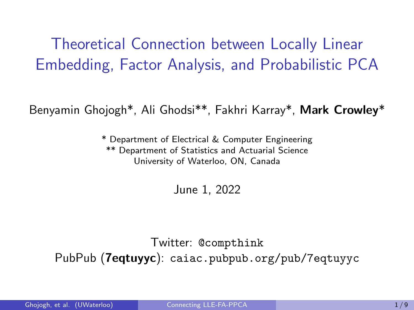<span id="page-0-0"></span>Theoretical Connection between Locally Linear Embedding, Factor Analysis, and Probabilistic PCA

Benyamin Ghojogh\*, Ali Ghodsi\*\*, Fakhri Karray\*, Mark Crowley\*

\* Department of Electrical & Computer Engineering \*\* Department of Statistics and Actuarial Science University of Waterloo, ON, Canada

June 1, 2022

Twitter: @compthink PubPub (**7eqtuyyc**): caiac.pubpub.org/pub/7eqtuyyc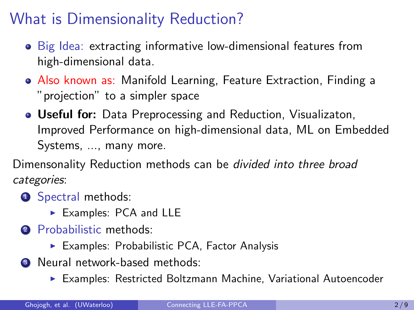## What is Dimensionality Reduction?

- Big Idea: extracting informative low-dimensional features from high-dimensional data.
- Also known as: Manifold Learning, Feature Extraction, Finding a "projection" to a simpler space
- Useful for: Data Preprocessing and Reduction, Visualizaton, Improved Performance on high-dimensional data, ML on Embedded Systems, ..., many more.

Dimensonality Reduction methods can be divided into three broad categories:

- **1** Spectral methods:
	- ▶ Examples: PCA and LLE
- 2 Probabilistic methods:
	- ▶ Examples: Probabilistic PCA, Factor Analysis
- **3** Neural network-based methods:
	- ▶ Examples: Restricted Boltzmann Machine, Variational Autoencoder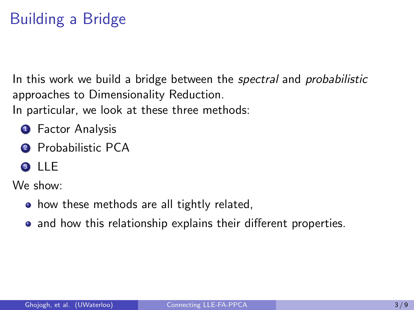# Building a Bridge

In this work we build a bridge between the *spectral* and *probabilistic* approaches to Dimensionality Reduction.

In particular, we look at these three methods:

- **1** Factor Analysis
- 2 Probabilistic PCA
- <sup>3</sup> LLE

We show:

- how these methods are all tightly related,
- and how this relationship explains their different properties.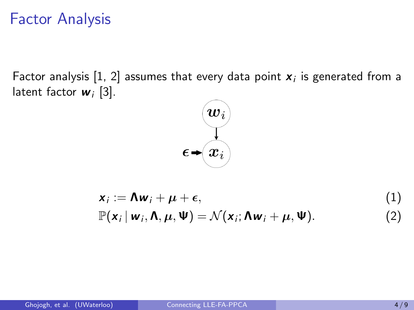## Factor Analysis

Factor analysis [\[1,](#page-8-1) [2\]](#page-8-2) assumes that every data point  $\boldsymbol{x}_i$  is generated from a latent factor  $w_i$  [\[3\]](#page-8-3).

<span id="page-3-0"></span>

$$
\mathbf{x}_i := \mathbf{\Lambda} \mathbf{w}_i + \boldsymbol{\mu} + \boldsymbol{\epsilon},
$$
  
\n
$$
\mathbb{P}(\mathbf{x}_i | \mathbf{w}_i, \mathbf{\Lambda}, \boldsymbol{\mu}, \mathbf{\Psi}) = \mathcal{N}(\mathbf{x}_i; \mathbf{\Lambda} \mathbf{w}_i + \boldsymbol{\mu}, \mathbf{\Psi}).
$$
\n(1)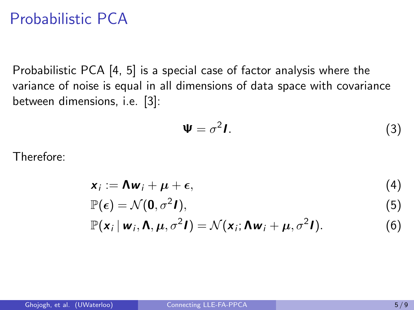## Probabilistic PCA

Probabilistic PCA [\[4,](#page-8-4) [5\]](#page-8-5) is a special case of factor analysis where the variance of noise is equal in all dimensions of data space with covariance between dimensions, i.e. [\[3\]](#page-8-3):

$$
\Psi = \sigma^2 I. \tag{3}
$$

Therefore:

$$
\mathbf{x}_i := \mathbf{\Lambda} \mathbf{w}_i + \boldsymbol{\mu} + \boldsymbol{\epsilon}, \tag{4}
$$

$$
\mathbb{P}(\epsilon) = \mathcal{N}(\mathbf{0}, \sigma^2 \mathbf{I}),\tag{5}
$$

$$
\mathbb{P}(\mathbf{x}_i \,|\, \mathbf{w}_i, \mathbf{\Lambda}, \boldsymbol{\mu}, \sigma^2 \mathbf{I}) = \mathcal{N}(\mathbf{x}_i; \mathbf{\Lambda} \mathbf{w}_i + \boldsymbol{\mu}, \sigma^2 \mathbf{I}). \tag{6}
$$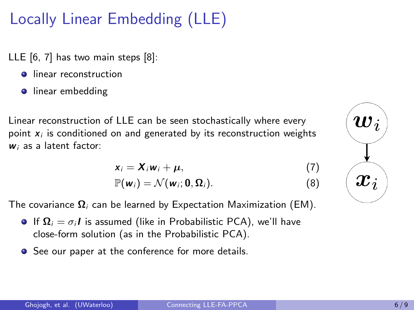# Locally Linear Embedding (LLE)

LLE [\[6,](#page-8-6) [7\]](#page-8-7) has two main steps [\[8\]](#page-8-8):

- **•** linear reconstruction
- **·** linear embedding

Linear reconstruction of LLE can be seen stochastically where every point  $x_i$  is conditioned on and generated by its reconstruction weights  $w_i$  as a latent factor:

$$
x_i = X_i w_i + \mu, \qquad (7)
$$

<span id="page-5-0"></span>
$$
\mathbb{P}(\mathbf{w}_i) = \mathcal{N}(\mathbf{w}_i; \mathbf{0}, \mathbf{\Omega}_i). \tag{8}
$$

The covariance  $\Omega_i$  can be learned by Expectation Maximization (EM).

- **If**  $\Omega_i = \sigma_i I$  **is assumed (like in Probabilistic PCA), we'll have** close-form solution (as in the Probabilistic PCA).
- See our paper at the conference for more details.

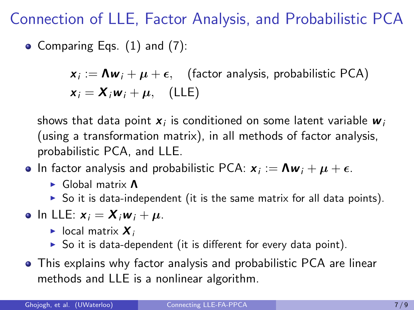Connection of LLE, Factor Analysis, and Probabilistic PCA

• Comparing Eqs.  $(1)$  and  $(7)$ :

 $\bm{x}_i := \bm{\Lambda}\bm{w}_i + \bm{\mu} + \bm{\epsilon}, \quad \text{(factor analysis, probabilistic PCA)}$  $x_i = X_i w_i + \mu$ , (LLE)

shows that data point  $\boldsymbol{x}_i$  is conditioned on some latent variable  $\boldsymbol{w}_i$ (using a transformation matrix), in all methods of factor analysis, probabilistic PCA, and LLE.

- In factor analysis and probabilistic PCA:  $\bm{x}_i := \bm{\Lambda}\bm{w}_i + \bm{\mu} + \bm{\epsilon}.$ 
	- ▶ Global matrix Λ
	- $\triangleright$  So it is data-independent (it is the same matrix for all data points).
- In LLE:  $x_i = X_i w_i + \mu$ .
	- $\blacktriangleright$  local matrix  $\chi_i$
	- $\triangleright$  So it is data-dependent (it is different for every data point).
- This explains why factor analysis and probabilistic PCA are linear methods and LLE is a nonlinear algorithm.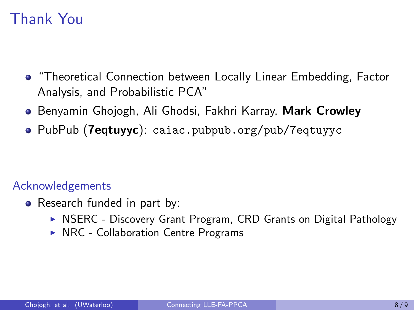## Thank You

- "Theoretical Connection between Locally Linear Embedding, Factor Analysis, and Probabilistic PCA"
- **Benyamin Ghojogh, Ali Ghodsi, Fakhri Karray, Mark Crowley**
- PubPub (7eqtuyyc): caiac.pubpub.org/pub/7eqtuyyc

#### Acknowledgements

- Research funded in part by:
	- ▶ NSERC Discovery Grant Program, CRD Grants on Digital Pathology
	- ▶ NRC Collaboration Centre Programs